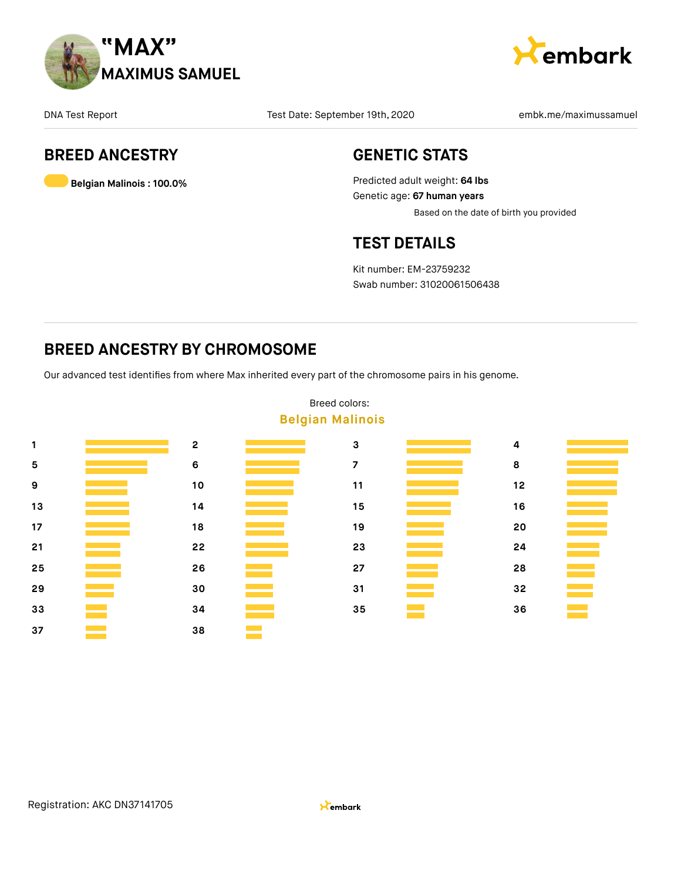



### **BREED ANCESTRY**

**Belgian Malinois : 100.0%**

### **GENETIC STATS**

Predicted adult weight: **64 lbs** Genetic age: **67 human years** Based on the date of birth you provided

### **TEST DETAILS**

Kit number: EM-23759232 Swab number: 31020061506438

### **BREED ANCESTRY BY CHROMOSOME**

Our advanced test identifies from where Max inherited every part of the chromosome pairs in his genome.



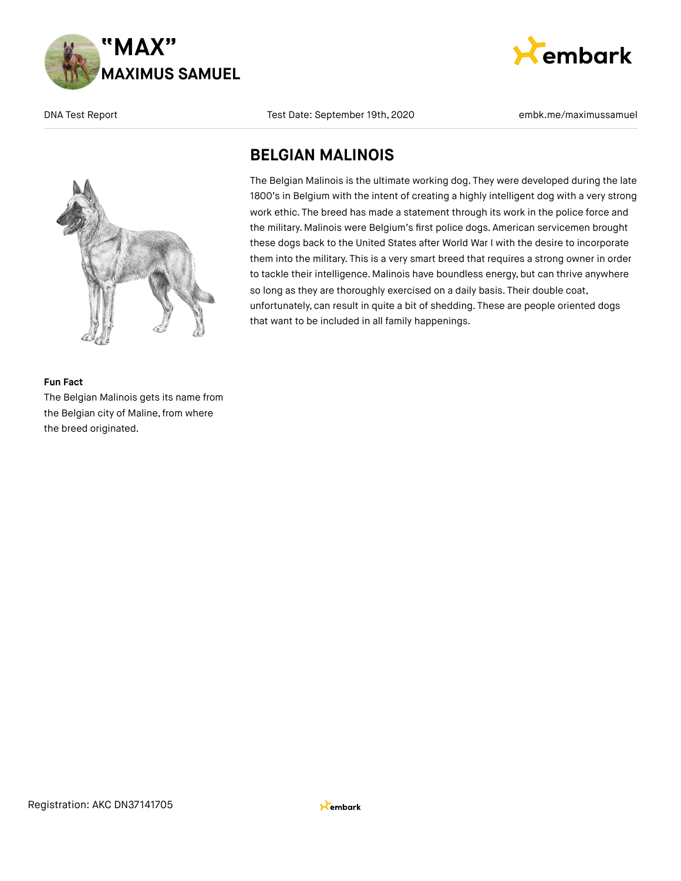



embark

### **BELGIAN MALINOIS**

The Belgian Malinois is the ultimate working dog. They were developed during the late 1800's in Belgium with the intent of creating a highly intelligent dog with a very strong work ethic. The breed has made a statement through its work in the police force and the military. Malinois were Belgium's first police dogs. American servicemen brought these dogs back to the United States after World War I with the desire to incorporate them into the military. This is a very smart breed that requires a strong owner in order to tackle their intelligence. Malinois have boundless energy, but can thrive anywhere so long as they are thoroughly exercised on a daily basis. Their double coat, unfortunately, can result in quite a bit of shedding. These are people oriented dogs that want to be included in all family happenings.

#### **Fun Fact**

The Belgian Malinois gets its name from the Belgian city of Maline, from where the breed originated.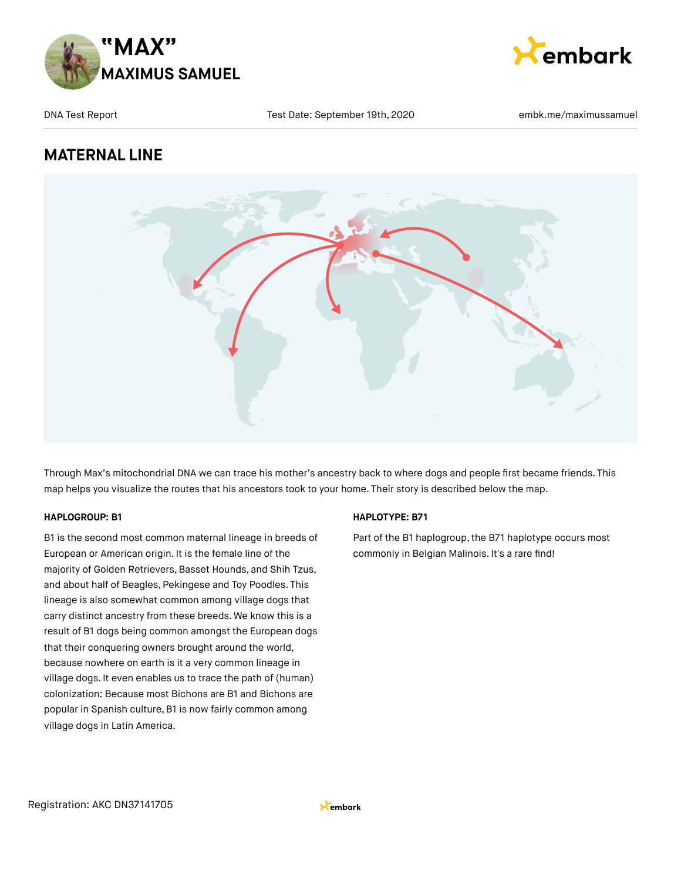



### **MATERNAL LINE**



Through Max's mitochondrial DNA we can trace his mother's ancestry back to where dogs and people first became friends. This map helps you visualize the routes that his ancestors took to your home. Their story is described below the map.

### **HAPLOGROUP: B1**

B1 is the second most common maternal lineage in breeds of European or American origin. It is the female line of the majority of Golden Retrievers, Basset Hounds, and Shih Tzus, and about half of Beagles, Pekingese and Toy Poodles. This lineage is also somewhat common among village dogs that carry distinct ancestry from these breeds. We know this is a result of B1 dogs being common amongst the European dogs that their conquering owners brought around the world, because nowhere on earth is it a very common lineage in village dogs. It even enables us to trace the path of (human) colonization: Because most Bichons are B1 and Bichons are popular in Spanish culture, B1 is now fairly common among village dogs in Latin America.

### **HAPLOTYPE: B71**

Part of the B1 haplogroup, the B71 haplotype occurs most commonly in Belgian Malinois. It's a rare find!

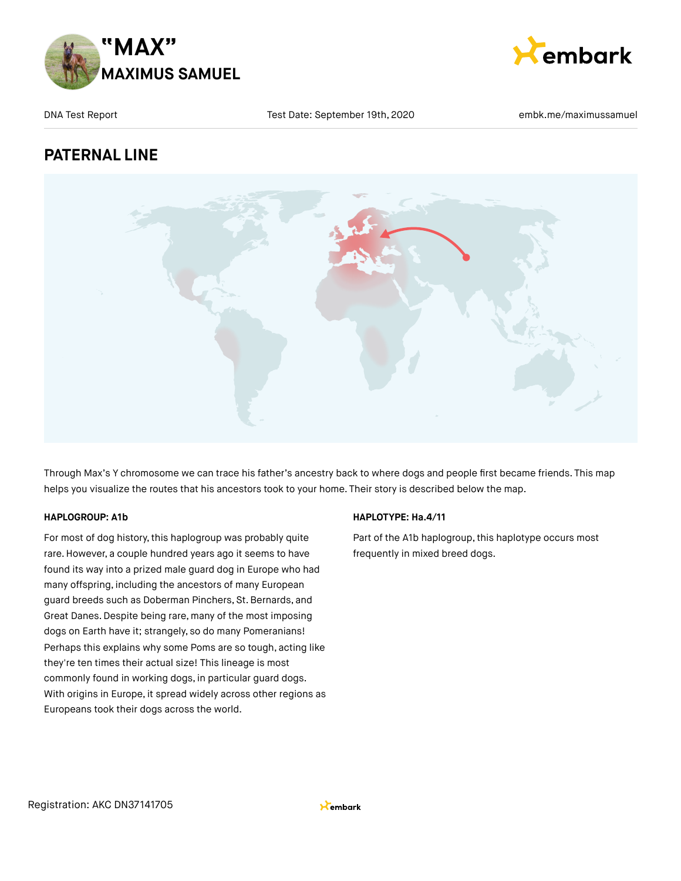



### **PATERNAL LINE**



Through Max's Y chromosome we can trace his father's ancestry back to where dogs and people first became friends. This map helps you visualize the routes that his ancestors took to your home. Their story is described below the map.

### **HAPLOGROUP: A1b**

For most of dog history, this haplogroup was probably quite rare. However, a couple hundred years ago it seems to have found its way into a prized male guard dog in Europe who had many offspring, including the ancestors of many European guard breeds such as Doberman Pinchers, St.Bernards, and Great Danes.Despite being rare, many of the most imposing dogs on Earth have it; strangely, so do many Pomeranians! Perhaps this explains why some Poms are so tough, acting like they're ten times their actual size! This lineage is most commonly found in working dogs, in particular guard dogs. With origins in Europe, it spread widely across other regions as Europeans took their dogs across the world.

### **HAPLOTYPE: Ha.4/11**

Part of the A1b haplogroup, this haplotype occurs most frequently in mixed breed dogs.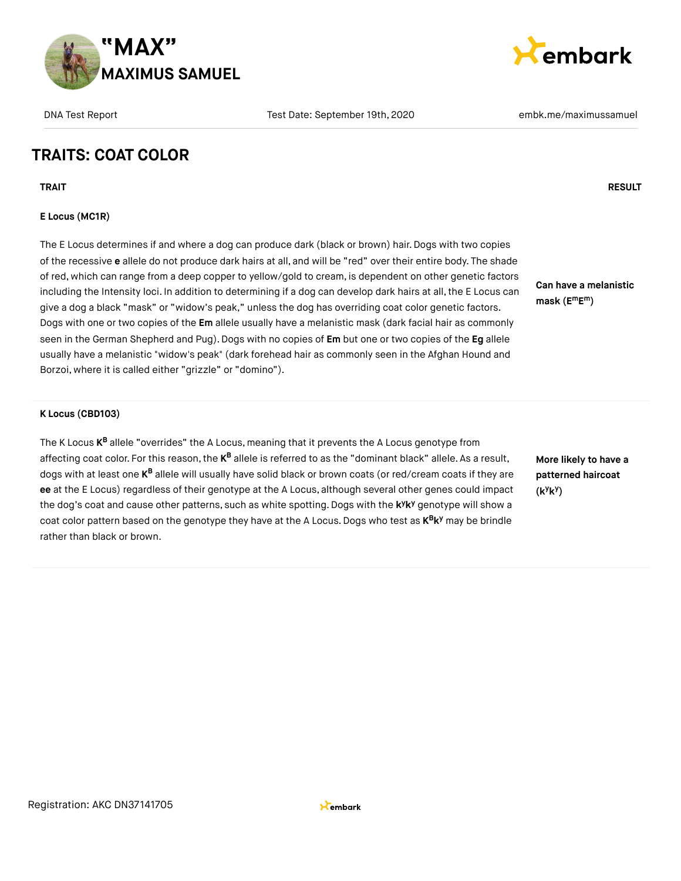



# **TRAITS: COAT COLOR**

**TRAIT RESULT**

#### **E Locus (MC1R)**

The E Locus determines if and where a dog can produce dark (black or brown) hair. Dogs with two copies of the recessive **e** allele do not produce dark hairs at all, and will be "red" over their entire body. The shade of red, which can range from a deep copper to yellow/gold to cream, is dependent on other genetic factors including the Intensity loci. In addition to determining if a dog can develop dark hairs at all, the E Locus can give a dog a black "mask" or "widow's peak," unless the dog has overriding coat color genetic factors. Dogs with one or two copies of the **Em** allele usually have a melanistic mask (dark facial hair as commonly seen in the German Shepherd and Pug).Dogs with no copies of **Em** but one or two copies of the **Eg** allele usually have a melanistic "widow's peak" (dark forehead hair as commonly seen in the Afghan Hound and Borzoi, where it is called either "grizzle" or "domino").

#### **K Locus (CBD103)**

The K Locus **K<sup>B</sup>** allele "overrides" the A Locus, meaning that it prevents the A Locus genotype from affecting coat color. For this reason, the **K<sup>B</sup> allele is referred to as the "dominant** black" allele. As a result, dogs with at least one **K<sup>B</sup> allele will usually have solid black** or brown coats (or red/cream coats if they are **ee** at the E Locus) regardless of their genotype at the A Locus, although several other genes could impact the dog's coat and cause other patterns, such as white spotting. Dogs with the k<sup>y</sup>k<sup>y</sup> genotype will show a coat color pattern based on the genotype they have at the A Locus. Dogs who test as  $K^B K^y$  may be brindle rather than black or brown.

**More likely to have a patterned haircoat (k k ) y y**

**Can have a melanistic**

**mask (E E ) m m**

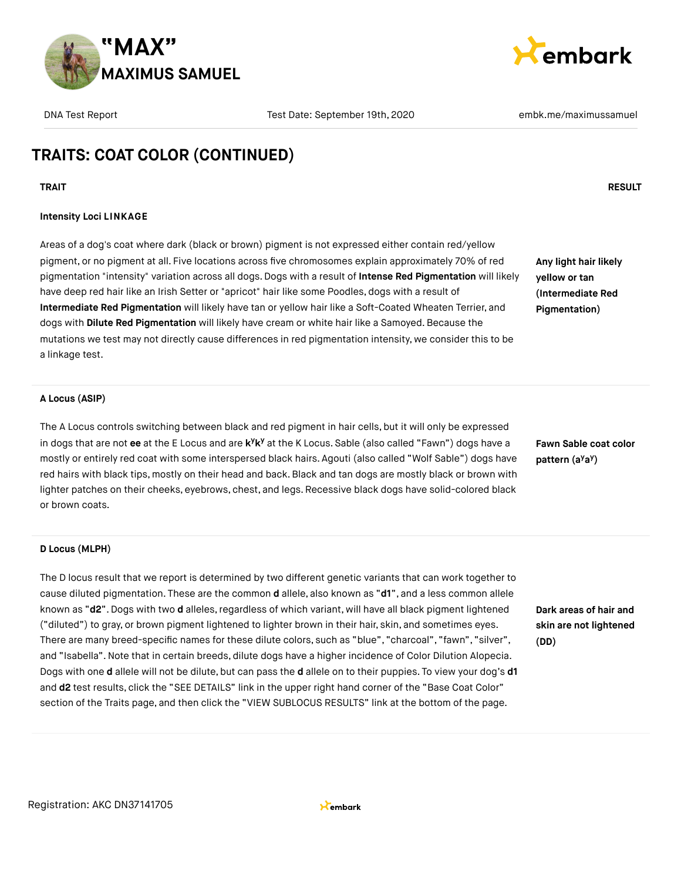



**Any light hair likely yellow or tan (Intermediate Red Pigmentation)**

# **TRAITS: COAT COLOR (CONTINUED)**

#### **Intensity Loci LINKAGE**

Areas of a dog's coat where dark (black or brown) pigment is not expressed either contain red/yellow pigment, or no pigment at all. Five locations across five chromosomes explain approximately 70% of red pigmentation "intensity" variation across all dogs. Dogs with a result of **Intense Red Pigmentation** will likely have deep red hair like an Irish Setter or "apricot" hair like some Poodles, dogs with a result of **Intermediate Red Pigmentation** will likely have tan or yellow hair like a Soft-Coated Wheaten Terrier, and dogs with **Dilute Red Pigmentation** will likely have cream or white hair like a Samoyed. Because the mutations we test may not directly cause differences in red pigmentation intensity, we consider this to be a linkage test.

#### **A Locus (ASIP)**

The A Locus controls switching between black and red pigment in hair cells, but it will only be expressed in dogs that are not ee at the E Locus and are k<sup>y</sup>k<sup>y</sup> at the K Locus. Sable (also called "Fawn") dogs have a mostly or entirely red coat with some interspersed black hairs. Agouti (also called "Wolf Sable") dogs have red hairs with black tips, mostly on their head and back. Black and tan dogs are mostly black or brown with lighter patches on their cheeks, eyebrows, chest, and legs. Recessive black dogs have solid-colored black or brown coats.

**Fawn Sable coat color pattern** (a<sup>y</sup>a<sup>y</sup>)

#### **D Locus (MLPH)**

The D locus result that we report is determined by two different genetic variants that can work together to cause diluted pigmentation. These are the common **d** allele, also known as "**d1**", and a less common allele known as "d2". Dogs with two d alleles, regardless of which variant, will have all black pigment lightened ("diluted") to gray, or brown pigment lightened to lighter brown in their hair, skin, and sometimes eyes. There are many breed-specific names for these dilute colors, such as "blue", "charcoal", "fawn", "silver", and "Isabella".Note that in certain breeds, dilute dogs have a higher incidence of Color Dilution Alopecia. Dogs with one **d** allele will not be dilute, but can pass the **d** allele on to their puppies. To view your dog's **d1** and **d2** test results, click the "SEE DETAILS" link in the upper right hand corner of the "Base Coat Color" section of the Traits page, and then click the "VIEW SUBLOCUS RESULTS" link at the bottom of the page.

**Dark areas of hair and skin are not lightened (DD)**



### **TRAIT RESULT**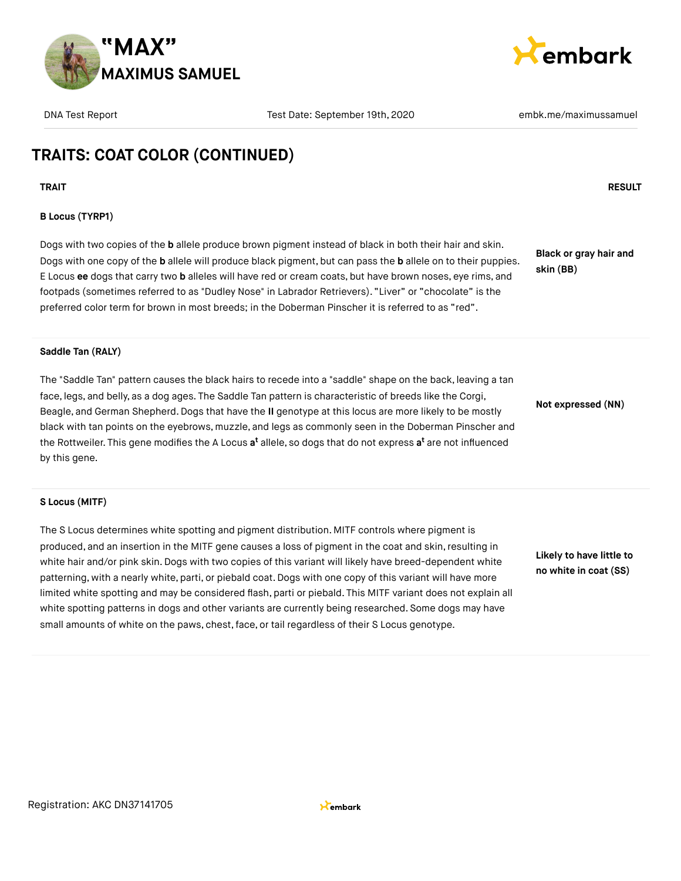



# **TRAITS: COAT COLOR (CONTINUED)**

**TRAIT RESULT**

#### **B Locus (TYRP1)**

Dogs with two copies of the **b** allele produce brown pigment instead of black in both their hair and skin. Dogs with one copy of the **b** allele will produce black pigment, but can pass the **b** allele on to their puppies. E Locus **ee** dogs that carry two **b** alleles will have red or cream coats, but have brown noses, eye rims, and footpads (sometimes referred to as "Dudley Nose" in Labrador Retrievers). "Liver" or "chocolate" is the preferred color term for brown in most breeds; in the Doberman Pinscher it is referred to as "red".

**Black or gray hair and skin (BB)**

#### **Saddle Tan (RALY)**

The "Saddle Tan" pattern causes the black hairs to recede into a "saddle" shape on the back, leaving a tan face, legs, and belly, as a dog ages. The Saddle Tan pattern is characteristic of breeds like the Corgi, Beagle, and German Shepherd.Dogs that have the **II** genotype at this locus are more likely to be mostly black with tan points on the eyebrows, muzzle, and legs as commonly seen in the Doberman Pinscher and the Rottweiler. This gene modifies the A Locus **a<sup>t</sup>** allele, so dogs that do not express **a<sup>t</sup>** are not influenced by this gene.

**Not expressed (NN)**

#### **S Locus (MITF)**

The S Locus determines white spotting and pigment distribution. MITF controls where pigment is produced, and an insertion in the MITF gene causes a loss of pigment in the coat and skin, resulting in white hair and/or pink skin. Dogs with two copies of this variant will likely have breed-dependent white patterning, with a nearly white, parti, or piebald coat.Dogs with one copy of this variant will have more limited white spotting and may be considered flash, parti or piebald. This MITF variant does not explain all white spotting patterns in dogs and other variants are currently being researched. Some dogs may have small amounts of white on the paws, chest, face, or tail regardless of their S Locus genotype.

**Likely to have little to no white in coat (SS)**

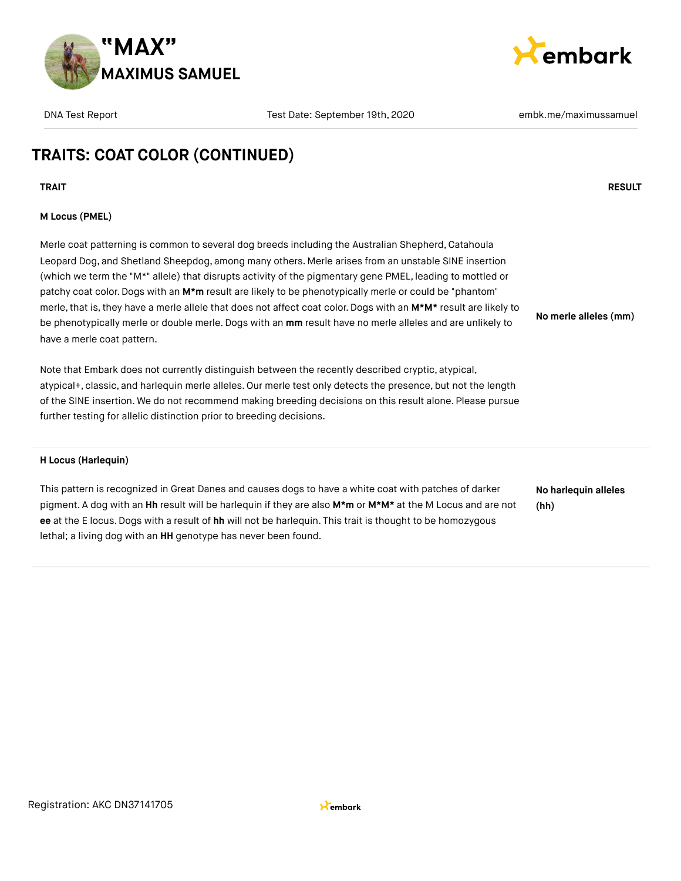



# **TRAITS: COAT COLOR (CONTINUED)**

**TRAIT RESULT**

#### **M Locus (PMEL)**

Merle coat patterning is common to several dog breeds including the Australian Shepherd, Catahoula Leopard Dog, and Shetland Sheepdog, among many others. Merle arises from an unstable SINE insertion (which we term the "M\*" allele) that disrupts activity of the pigmentary gene PMEL, leading to mottled or patchy coat color.Dogs with an **M\*m** result are likely to be phenotypically merle or could be "phantom" merle, that is, they have a merle allele that does not affect coat color. Dogs with an M\*M\* result are likely to be phenotypically merle or double merle.Dogs with an **mm** result have no merle alleles and are unlikely to have a merle coat pattern. **No merle alleles (mm)**

Note that Embark does not currently distinguish between the recently described cryptic, atypical, atypical+, classic, and harlequin merle alleles. Our merle test only detects the presence, but not the length of the SINE insertion. We do not recommend making breeding decisions on this result alone. Please pursue further testing for allelic distinction prior to breeding decisions.

#### **H Locus (Harlequin)**

This pattern is recognized in Great Danes and causes dogs to have a white coat with patches of darker pigment. A dog with an **Hh** result will be harlequin if they are also **M\*m** or **M\*M\*** at the M Locus and are not **ee** at the E locus.Dogs with a result of **hh** will not be harlequin. This trait is thought to be homozygous lethal; a living dog with an **HH** genotype has never been found.

**No harlequin alleles (hh)**

Registration: AKC DN37141705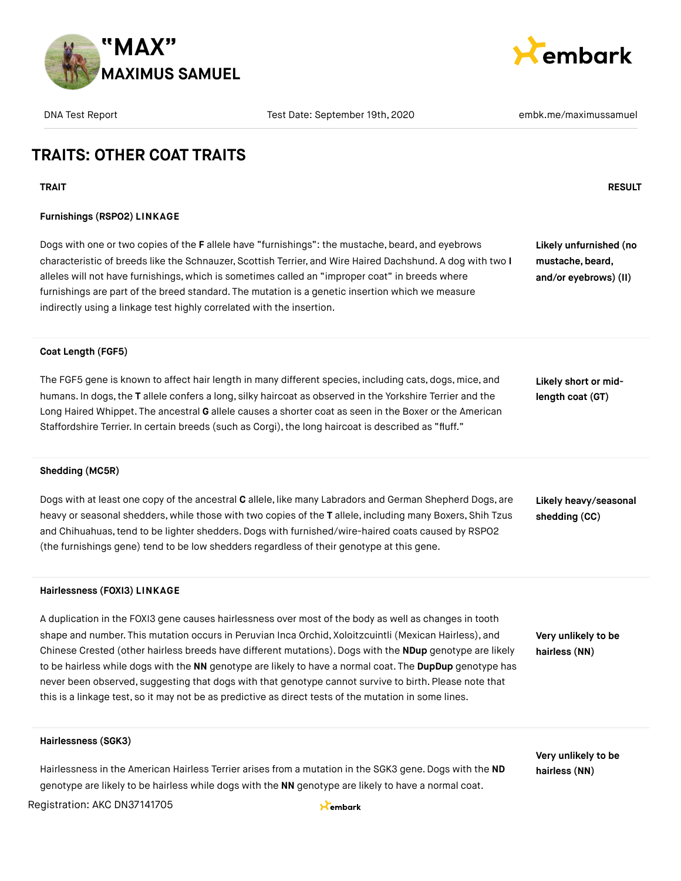



# **TRAITS: OTHER COAT TRAITS**

**TRAIT RESULT**

#### **Furnishings (RSPO2) LINKAGE**

Dogs with one or two copies of the **F** allele have "furnishings": the mustache, beard, and eyebrows characteristic of breeds like the Schnauzer, Scottish Terrier, and Wire Haired Dachshund. A dog with two **I** alleles will not have furnishings, which is sometimes called an "improper coat" in breeds where furnishings are part of the breed standard. The mutation is a genetic insertion which we measure indirectly using a linkage test highly correlated with the insertion.

**Likely unfurnished (no mustache, beard, and/or eyebrows) (II)**

#### **Coat Length (FGF5)**

The FGF5 gene is known to affect hair length in many different species, including cats, dogs, mice, and humans. In dogs,the **T** allele confers a long, silky haircoat as observed in the Yorkshire Terrier and the Long Haired Whippet. The ancestral **G** allele causes a shorter coat as seen in the Boxer or the American Staffordshire Terrier. In certain breeds (such as Corgi), the long haircoat is described as "fluff."

**Likely short or midlength coat (GT)**

#### **Shedding (MC5R)**

Dogs with at least one copy of the ancestral **C** allele, like many Labradors and German Shepherd Dogs, are heavy or seasonal shedders, while those with two copies of the **T** allele, including many Boxers, Shih Tzus and Chihuahuas,tend to be lighter shedders.Dogs with furnished/wire-haired coats caused by RSPO2 (the furnishings gene) tend to be low shedders regardless of their genotype at this gene.

**Likely heavy/seasonal shedding (CC)**

#### **Hairlessness (FOXI3) LINKAGE**

A duplication in the FOXI3 gene causes hairlessness over most of the body as well as changes in tooth shape and number. This mutation occurs in Peruvian Inca Orchid, Xoloitzcuintli (Mexican Hairless), and Chinese Crested (other hairless breeds have different mutations). Dogs with the **NDup** genotype are likely to be hairless while dogs with the **NN** genotype are likely to have a normal coat. The **DupDup** genotype has never been observed, suggesting that dogs with that genotype cannot survive to birth. Please note that this is a linkage test, so it may not be as predictive as direct tests of the mutation in some lines.

**Very unlikely to be hairless (NN)**

#### **Hairlessness (SGK3)**

Hairlessness in the American Hairless Terrier arises from a mutation in the SGK3 gene. Dogs with the **ND** genotype are likely to be hairless while dogs with the **NN** genotype are likely to have a normal coat.

**Very unlikely to be hairless (NN)**

Registration: AKC DN37141705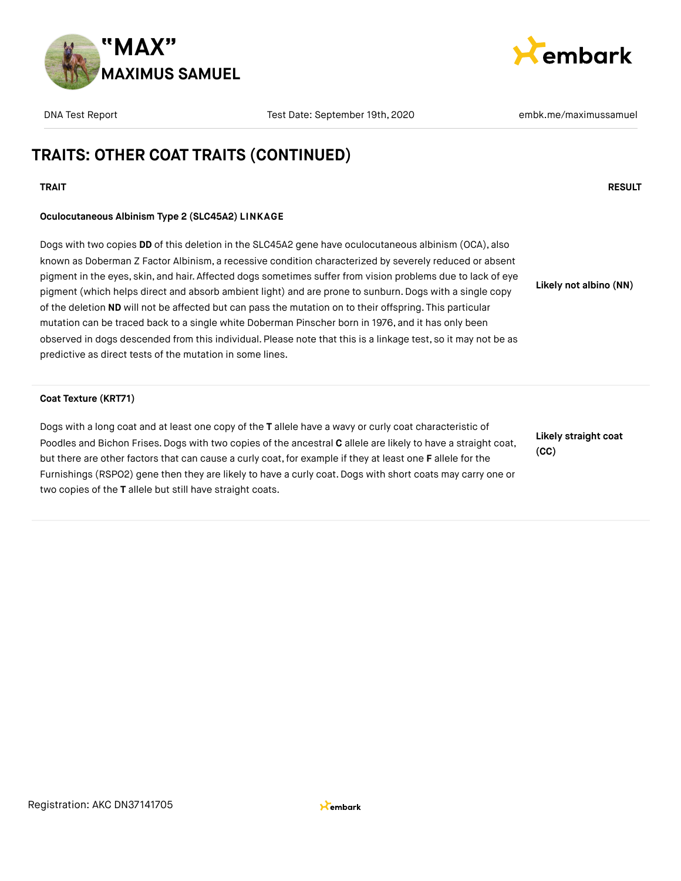



# **TRAITS: OTHER COAT TRAITS (CONTINUED)**

### **TRAIT RESULT**

### **Oculocutaneous Albinism Type 2 (SLC45A2) LINKAGE**

Dogs with two copies **DD** of this deletion in the SLC45A2 gene have oculocutaneous albinism (OCA), also known as Doberman Z Factor Albinism, a recessive condition characterized by severely reduced or absent pigment in the eyes, skin, and hair. Affected dogs sometimes suffer from vision problems due to lack of eye pigment (which helps direct and absorb ambient light) and are prone to sunburn. Dogs with a single copy of the deletion **ND** will not be affected but can pass the mutation on to their offspring. This particular mutation can be traced back to a single white Doberman Pinscher born in 1976, and it has only been observed in dogs descended from this individual. Please note that this is a linkage test, so it may not be as predictive as direct tests of the mutation in some lines. **Likely not albino (NN)**

#### **Coat Texture (KRT71)**

Dogs with a long coat and at least one copy of the **T** allele have a wavy or curly coat characteristic of Poodles and Bichon Frises. Dogs with two copies of the ancestral **C** allele are likely to have a straight coat, but there are other factors that can cause a curly coat, for example if they at least one **F** allele for the Furnishings (RSPO2) gene then they are likely to have a curly coat. Dogs with short coats may carry one or two copies of the **T** allele but still have straight coats.

**Likely straight coat (CC)**

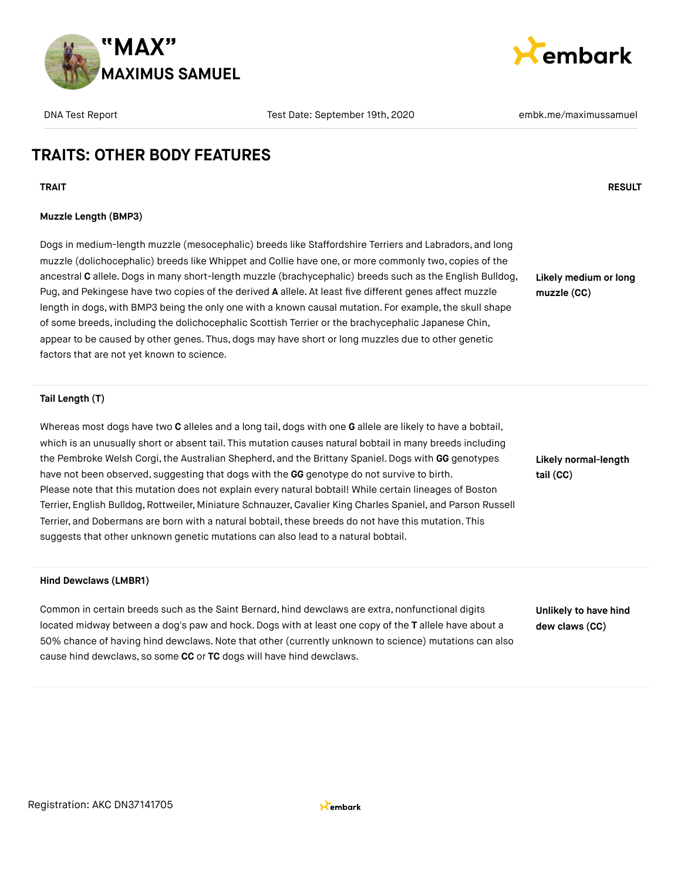



**Likely medium or long**

**muzzle (CC)**

### **TRAITS: OTHER BODY FEATURES**

**TRAIT RESULT**

#### **Muzzle Length (BMP3)**

Dogs in medium-length muzzle (mesocephalic) breeds like Staffordshire Terriers and Labradors, and long muzzle (dolichocephalic) breeds like Whippet and Collie have one, or more commonly two, copies of the ancestral **C** allele.Dogs in many short-length muzzle (brachycephalic) breeds such as the English Bulldog, Pug, and Pekingese have two copies of the derived **A** allele. At least five different genes affect muzzle length in dogs, with BMP3 being the only one with a known causal mutation. For example, the skull shape of some breeds, including the dolichocephalic Scottish Terrier or the brachycephalic Japanese Chin, appear to be caused by other genes. Thus, dogs may have short or long muzzles due to other genetic factors that are not yet known to science.

#### **Tail Length (T)**

Whereas most dogs have two **C** alleles and a long tail, dogs with one **G** allele are likely to have a bobtail, which is an unusually short or absent tail. This mutation causes natural bobtail in many breeds including the Pembroke Welsh Corgi,the Australian Shepherd, and the Brittany Spaniel. Dogs with **GG** genotypes have not been observed, suggesting that dogs with the **GG** genotype do not survive to birth. Please note that this mutation does not explain every natural bobtail! While certain lineages of Boston Terrier, English Bulldog, Rottweiler, Miniature Schnauzer, Cavalier King Charles Spaniel, and Parson Russell Terrier, and Dobermans are born with a natural bobtail, these breeds do not have this mutation. This suggests that other unknown genetic mutations can also lead to a natural bobtail.

**Likely normal-length tail (CC)**

#### **Hind Dewclaws (LMBR1)**

Common in certain breeds such as the Saint Bernard, hind dewclaws are extra, nonfunctional digits located midway between a dog's paw and hock.Dogs with at least one copy of the **T** allele have about a 50% chance of having hind dewclaws.Note that other (currently unknown to science) mutations can also cause hind dewclaws, so some **CC** or **TC** dogs will have hind dewclaws.

**Unlikely to have hind dew claws (CC)**

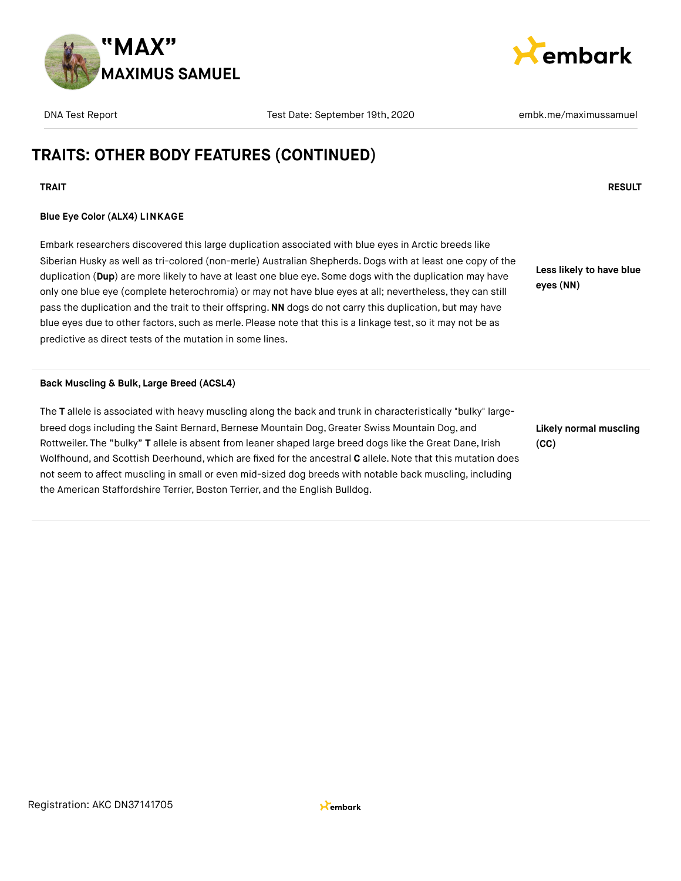



# **TRAITS: OTHER BODY FEATURES (CONTINUED)**

### **TRAIT RESULT**

### **Blue Eye Color (ALX4) LINKAGE**

Embark researchers discovered this large duplication associated with blue eyes in Arctic breeds like Siberian Husky as well as tri-colored (non-merle) Australian Shepherds. Dogs with at least one copy of the duplication (**Dup**) are more likely to have at least one blue eye. Some dogs with the duplication may have only one blue eye (complete heterochromia) or may not have blue eyes at all; nevertheless, they can still pass the duplication and the trait to their offspring.**NN** dogs do not carry this duplication, but may have blue eyes due to other factors, such as merle. Please note that this is a linkage test, so it may not be as predictive as direct tests of the mutation in some lines.

**Less likely to have blue eyes (NN)**

#### **Back Muscling & Bulk, Large Breed (ACSL4)**

The **T** allele is associated with heavy muscling along the back and trunk in characteristically "bulky" largebreed dogs including the Saint Bernard, Bernese Mountain Dog, Greater Swiss Mountain Dog, and Rottweiler. The "bulky" **T** allele is absent from leaner shaped large breed dogs like the Great Dane, Irish Wolfhound, and Scottish Deerhound, which are fixed for the ancestral **C** allele.Note that this mutation does not seem to affect muscling in small or even mid-sized dog breeds with notable back muscling, including the American Staffordshire Terrier, Boston Terrier, and the English Bulldog.

**Likely normal muscling (CC)**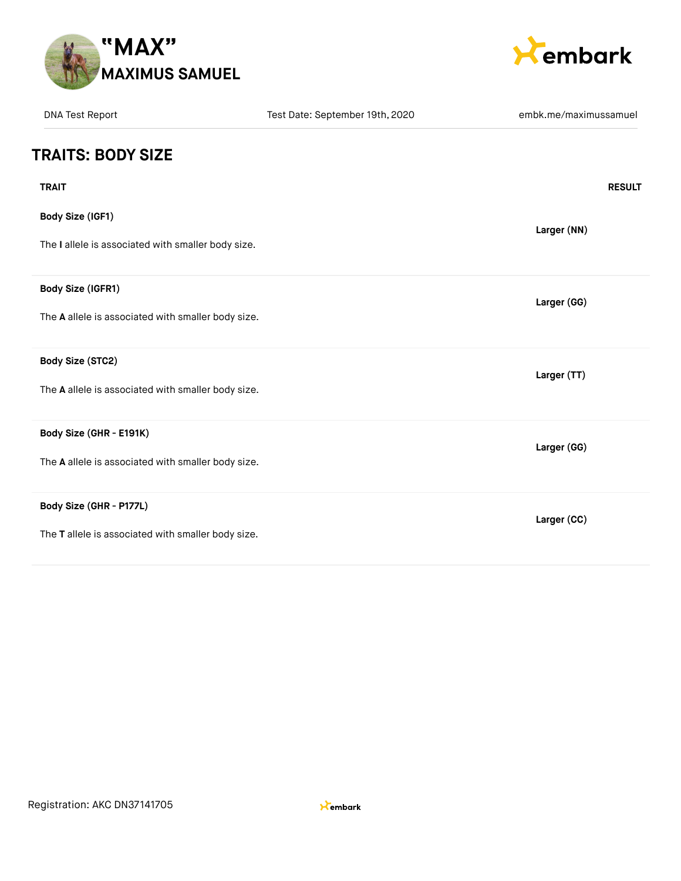



| <b>DNA Test Report</b>                             | Test Date: September 19th, 2020 | embk.me/maximussamuel |
|----------------------------------------------------|---------------------------------|-----------------------|
| <b>TRAITS: BODY SIZE</b>                           |                                 |                       |
| <b>TRAIT</b>                                       |                                 | <b>RESULT</b>         |
| <b>Body Size (IGF1)</b>                            |                                 | Larger (NN)           |
| The I allele is associated with smaller body size. |                                 |                       |
| Body Size (IGFR1)                                  |                                 | Larger (GG)           |
| The A allele is associated with smaller body size. |                                 |                       |
| Body Size (STC2)                                   |                                 | Larger (TT)           |
| The A allele is associated with smaller body size. |                                 |                       |
| Body Size (GHR - E191K)                            |                                 | Larger (GG)           |
| The A allele is associated with smaller body size. |                                 |                       |
| Body Size (GHR - P177L)                            |                                 | Larger (CC)           |
| The T allele is associated with smaller body size. |                                 |                       |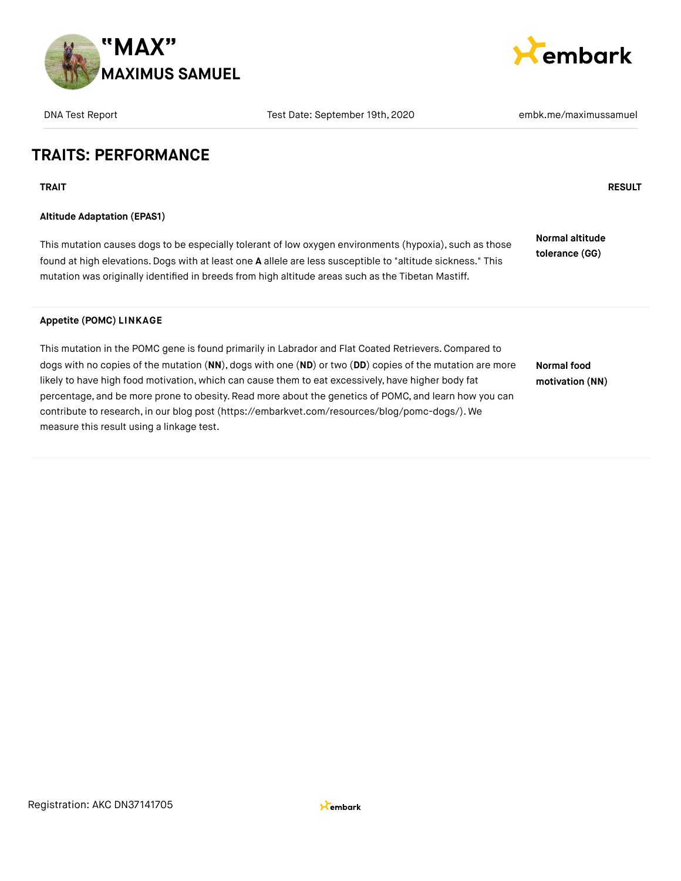



| <b>DNA Test Report</b>                    | Test Date: September 19th, 2020                                                                                                                                                                                                                                                                                                                                                                                                                                                                                                    | embk.me/maximussamuel                    |
|-------------------------------------------|------------------------------------------------------------------------------------------------------------------------------------------------------------------------------------------------------------------------------------------------------------------------------------------------------------------------------------------------------------------------------------------------------------------------------------------------------------------------------------------------------------------------------------|------------------------------------------|
| <b>TRAITS: PERFORMANCE</b>                |                                                                                                                                                                                                                                                                                                                                                                                                                                                                                                                                    |                                          |
| <b>TRAIT</b>                              |                                                                                                                                                                                                                                                                                                                                                                                                                                                                                                                                    | <b>RESULT</b>                            |
| <b>Altitude Adaptation (EPAS1)</b>        |                                                                                                                                                                                                                                                                                                                                                                                                                                                                                                                                    |                                          |
|                                           | This mutation causes dogs to be especially tolerant of low oxygen environments (hypoxia), such as those<br>found at high elevations. Dogs with at least one A allele are less susceptible to "altitude sickness." This<br>mutation was originally identified in breeds from high altitude areas such as the Tibetan Mastiff.                                                                                                                                                                                                       | <b>Normal altitude</b><br>tolerance (GG) |
| <b>Appetite (POMC) LINKAGE</b>            |                                                                                                                                                                                                                                                                                                                                                                                                                                                                                                                                    |                                          |
| measure this result using a linkage test. | This mutation in the POMC gene is found primarily in Labrador and Flat Coated Retrievers. Compared to<br>dogs with no copies of the mutation (NN), dogs with one (ND) or two (DD) copies of the mutation are more<br>likely to have high food motivation, which can cause them to eat excessively, have higher body fat<br>percentage, and be more prone to obesity. Read more about the genetics of POMC, and learn how you can<br>contribute to research, in our blog post (https://embarkvet.com/resources/blog/pomc-dogs/). We | Normal food<br>motivation (NN)           |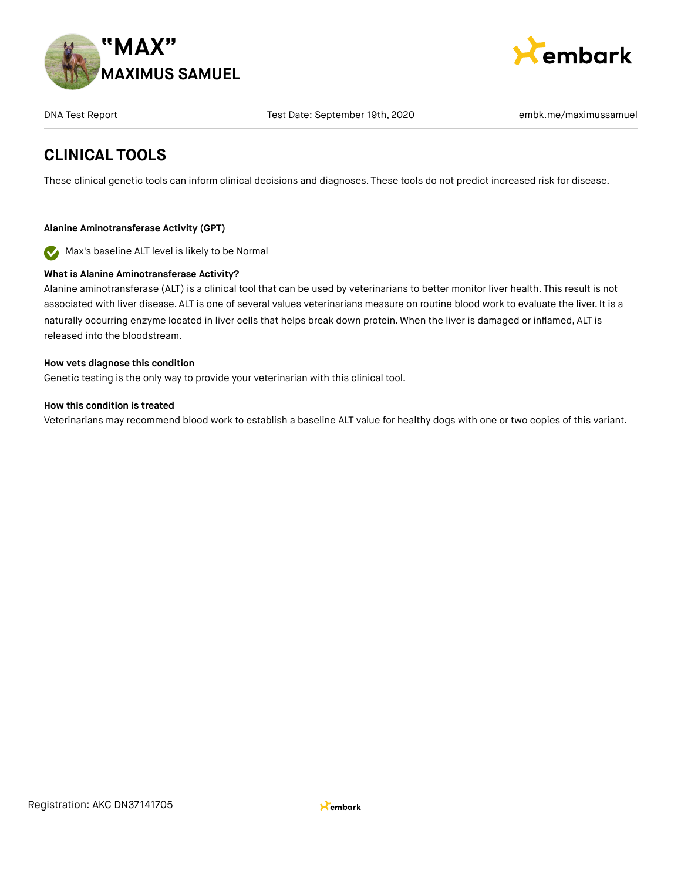



### **CLINICAL TOOLS**

These clinical genetic tools can inform clinical decisions and diagnoses. These tools do not predict increased risk for disease.

### **Alanine Aminotransferase Activity (GPT)**

Max's baseline ALT level is likely to be Normal 

### **What is Alanine Aminotransferase Activity?**

Alanine aminotransferase (ALT) is a clinical tool that can be used by veterinarians to better monitor liver health. This result is not associated with liver disease. ALT is one of several values veterinarians measure on routine blood work to evaluate the liver. It is a naturally occurring enzyme located in liver cells that helps break down protein. When the liver is damaged or inflamed, ALT is released into the bloodstream.

#### **How vets diagnose this condition**

Genetic testing is the only way to provide your veterinarian with this clinical tool.

#### **How this condition is treated**

Veterinarians may recommend blood work to establish a baseline ALT value for healthy dogs with one or two copies of this variant.

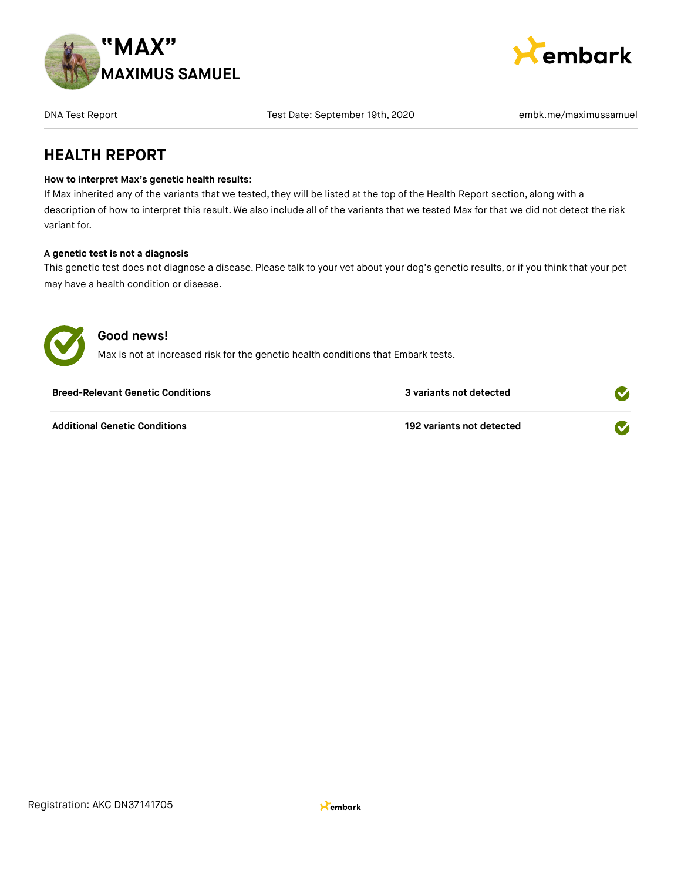



DNA Test Report Test Date: September 19th, 2020 and Test Date: September 19th, 2020

### **HEALTH REPORT**

#### **How to interpret Max's genetic health results:**

If Max inherited any of the variants that we tested, they will be listed at the top of the Health Report section, along with a description of how to interpret this result. We also include all of the variants that we tested Max for that we did not detect the risk variant for.

#### **A genetic test is not a diagnosis**

This genetic test does not diagnose a disease. Please talk to your vet about your dog's genetic results, or if you think that your pet may have a health condition or disease.



### **Good news!**

Max is not at increased risk for the genetic health conditions that Embark tests.

| <b>Breed-Relevant Genetic Conditions</b> | 3 variants not detected   |  |
|------------------------------------------|---------------------------|--|
| <b>Additional Genetic Conditions</b>     | 192 variants not detected |  |

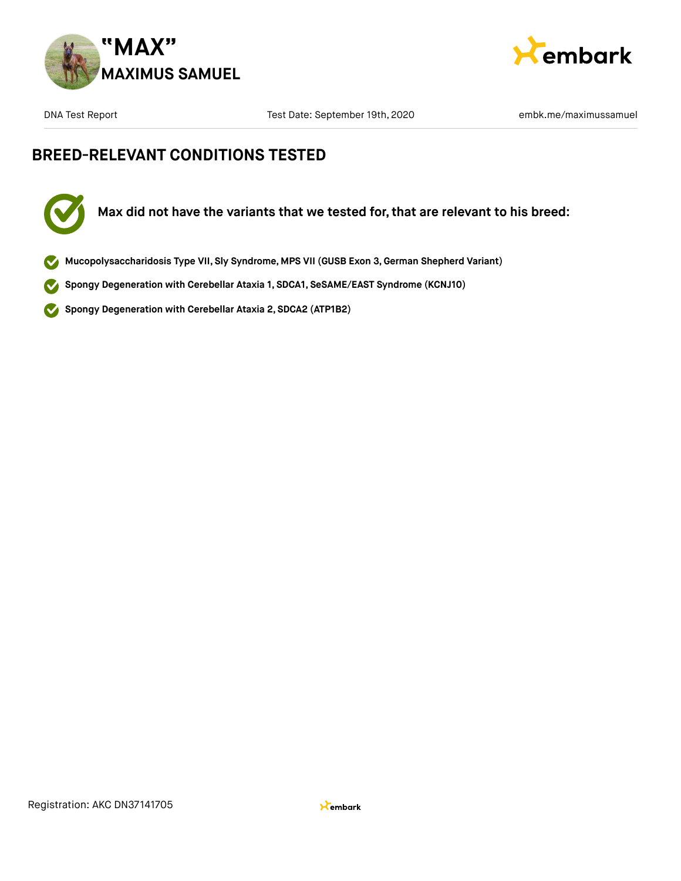



# **BREED-RELEVANT CONDITIONS TESTED**



- **Mucopolysaccharidosis Type VII, Sly Syndrome, MPS VII (GUSB Exon 3,German Shepherd Variant)**
- **Spongy Degeneration with Cerebellar Ataxia 1, SDCA1, SeSAME/EAST Syndrome (KCNJ10)**  $\checkmark$
- **Spongy Degeneration with Cerebellar Ataxia 2, SDCA2 (ATP1B2)**  $\blacktriangledown$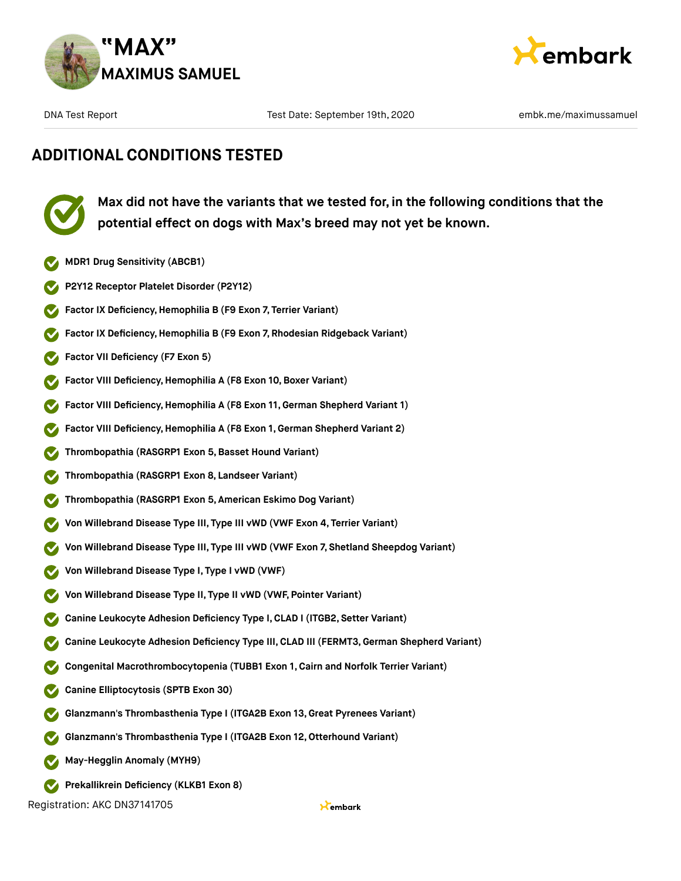



# **ADDITIONAL CONDITIONS TESTED**



**Max did not have the variants that we tested for, in the following conditions that the potential effect on dogs with Max's breed may not yet be known.**

- **MDR1 Drug Sensitivity (ABCB1)**
- **P2Y12 Receptor Platelet Disorder (P2Y12)**
- **Factor IX Deficiency,Hemophilia B (F9 Exon 7, Terrier Variant)**
- **Factor IX Deficiency,Hemophilia B (F9 Exon 7, Rhodesian Ridgeback Variant)**
- **Factor VII Deficiency (F7 Exon 5)**
- **Factor VIII Deficiency, Hemophilia A (F8 Exon 10, Boxer Variant)**
- **Factor VIII Deficiency, Hemophilia A (F8 Exon 11, German Shepherd Variant 1)**
- **Factor VIII Deficiency,Hemophilia A (F8 Exon 1, German Shepherd Variant 2)**
- **Thrombopathia (RASGRP1 Exon 5,Basset Hound Variant)**
- **Thrombopathia (RASGRP1 Exon 8, Landseer Variant)**
- **Thrombopathia (RASGRP1 Exon 5, American Eskimo Dog Variant)**
- **Von Willebrand Disease Type III, Type III vWD (VWF Exon 4, Terrier Variant)**
- **Von Willebrand Disease Type III, Type III vWD (VWF Exon 7, Shetland Sheepdog Variant)**
- **Von Willebrand Disease Type I, Type I vWD (VWF)**
- **Von Willebrand Disease Type II, Type II vWD (VWF, Pointer Variant)**
- **Canine Leukocyte Adhesion Deficiency Type I,CLAD I (ITGB2, Setter Variant)**
- **Canine Leukocyte Adhesion Deficiency Type III,CLAD III (FERMT3,German Shepherd Variant)**
- **Congenital Macrothrombocytopenia (TUBB1 Exon 1, Cairn and Norfolk Terrier Variant)**
- **Canine Elliptocytosis (SPTB Exon 30)**
- **Glanzmann's Thrombasthenia Type I (ITGA2B Exon 13, Great Pyrenees Variant)**
- **Glanzmann's Thrombasthenia Type I (ITGA2B Exon 12,Otterhound Variant)**
- **May-Hegglin Anomaly (MYH9)**
- **Prekallikrein Deficiency (KLKB1 Exon 8)**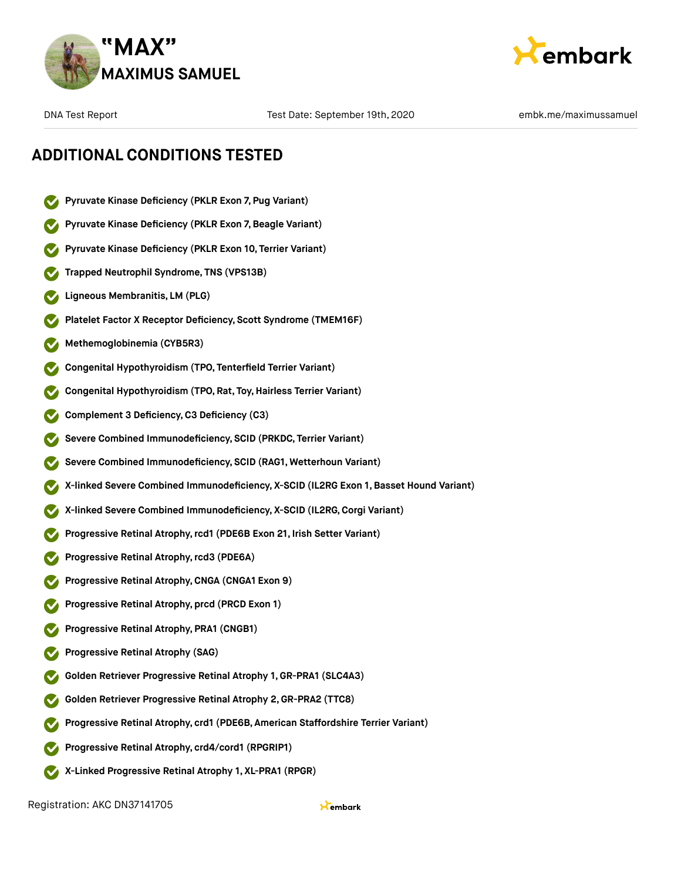



### **ADDITIONAL CONDITIONS TESTED**

- **Pyruvate Kinase Deficiency (PKLR Exon 7, Pug Variant)**
- **Pyruvate Kinase Deficiency (PKLR Exon 7,Beagle Variant)**
- **Pyruvate Kinase Deficiency (PKLR Exon 10, Terrier Variant)**
- **Trapped Neutrophil Syndrome, TNS (VPS13B)**
- **Ligneous Membranitis, LM (PLG)**
- **Platelet Factor X Receptor Deficiency, Scott Syndrome (TMEM16F)**
- **Methemoglobinemia (CYB5R3)**
- **Congenital Hypothyroidism (TPO, Tenterfield Terrier Variant)**
- **Congenital Hypothyroidism (TPO, Rat, Toy,Hairless Terrier Variant)**
- **Complement 3 Deficiency,C3 Deficiency (C3)**
- **Severe Combined Immunodeficiency, SCID (PRKDC, Terrier Variant)**
- **Severe Combined Immunodeficiency, SCID (RAG1, Wetterhoun Variant)**
- **X-linked Severe Combined Immunodeficiency, X-SCID (IL2RG Exon 1, Basset Hound Variant)**
- **X-linked Severe Combined Immunodeficiency, X-SCID (IL2RG,Corgi Variant)**
- **Progressive Retinal Atrophy,rcd1 (PDE6B Exon 21, Irish Setter Variant)**
- **Progressive Retinal Atrophy,rcd3 (PDE6A)**
- **Progressive Retinal Atrophy,CNGA (CNGA1 Exon 9)**
- **Progressive Retinal Atrophy, prcd (PRCD Exon 1)**
- **Progressive Retinal Atrophy, PRA1 (CNGB1)**
- **Progressive Retinal Atrophy (SAG)**
- **Golden Retriever Progressive Retinal Atrophy 1, GR-PRA1 (SLC4A3)**
- **Golden Retriever Progressive Retinal Atrophy 2,GR-PRA2 (TTC8)**
- **Progressive Retinal Atrophy, crd1 (PDE6B, American Staffordshire Terrier Variant)**
- **Progressive Retinal Atrophy, crd4/cord1 (RPGRIP1)**
- **X-Linked Progressive Retinal Atrophy 1, XL-PRA1 (RPGR)**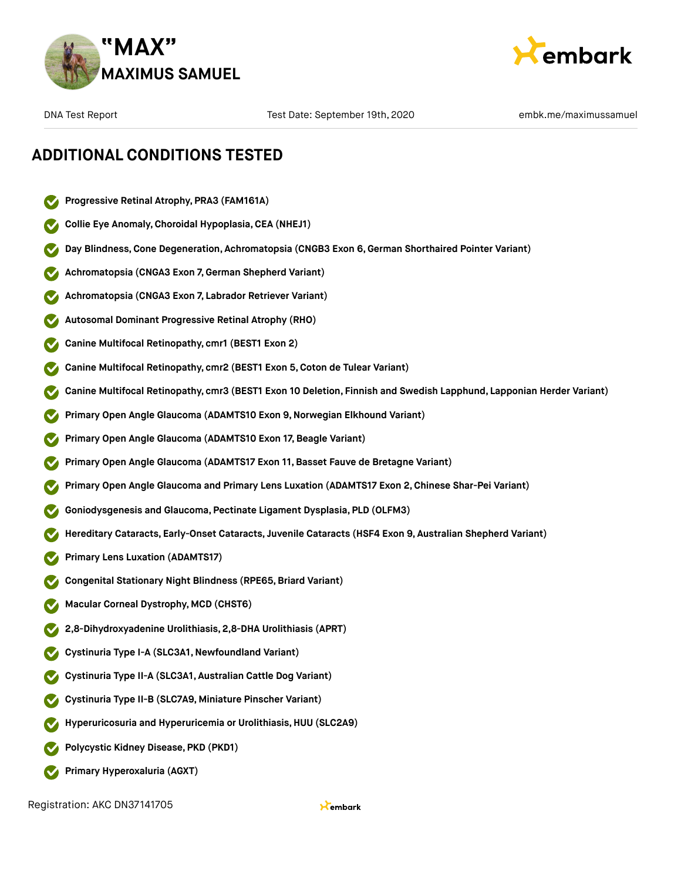



### **ADDITIONAL CONDITIONS TESTED**

- **Progressive Retinal Atrophy, PRA3 (FAM161A)**
- **Collie Eye Anomaly,Choroidal Hypoplasia,CEA (NHEJ1)**
- **Day Blindness,Cone Degeneration, Achromatopsia (CNGB3 Exon 6,German Shorthaired Pointer Variant)**
- **Achromatopsia (CNGA3 Exon 7,German Shepherd Variant)**
- **Achromatopsia (CNGA3 Exon 7, Labrador Retriever Variant)**
- **Autosomal Dominant Progressive Retinal Atrophy (RHO)**
- **Canine Multifocal Retinopathy, cmr1 (BEST1 Exon 2)**
- **Canine Multifocal Retinopathy, cmr2 (BEST1 Exon 5,Coton de Tulear Variant)**
- **Canine Multifocal Retinopathy, cmr3 (BEST1 Exon 10 Deletion, Finnish and Swedish Lapphund, Lapponian Herder Variant)**
- **Primary Open Angle Glaucoma (ADAMTS10 Exon 9,Norwegian Elkhound Variant)**
- **Primary Open Angle Glaucoma (ADAMTS10 Exon 17,Beagle Variant)**
- **Primary Open Angle Glaucoma (ADAMTS17 Exon 11,Basset Fauve de Bretagne Variant)**
- **Primary Open Angle Glaucoma and Primary Lens Luxation (ADAMTS17 Exon 2,Chinese Shar-Pei Variant)**
- **Goniodysgenesis and Glaucoma, Pectinate Ligament Dysplasia, PLD (OLFM3)**
- **Hereditary Cataracts, Early-Onset Cataracts, Juvenile Cataracts (HSF4 Exon 9, Australian Shepherd Variant)**
- **Primary Lens Luxation (ADAMTS17)**
- **Congenital Stationary Night Blindness (RPE65, Briard Variant)**
- **Macular Corneal Dystrophy, MCD (CHST6)**
- **2,8-Dihydroxyadenine Urolithiasis, 2,8-DHA Urolithiasis (APRT)**
- **Cystinuria Type I-A (SLC3A1,Newfoundland Variant)**
- **Cystinuria Type II-A (SLC3A1, Australian Cattle Dog Variant)**
- **Cystinuria Type II-B (SLC7A9, Miniature Pinscher Variant)**
- **Hyperuricosuria and Hyperuricemia or Urolithiasis,HUU (SLC2A9)**
- **Polycystic Kidney Disease, PKD (PKD1)**
- **Primary Hyperoxaluria (AGXT)**  $\bullet$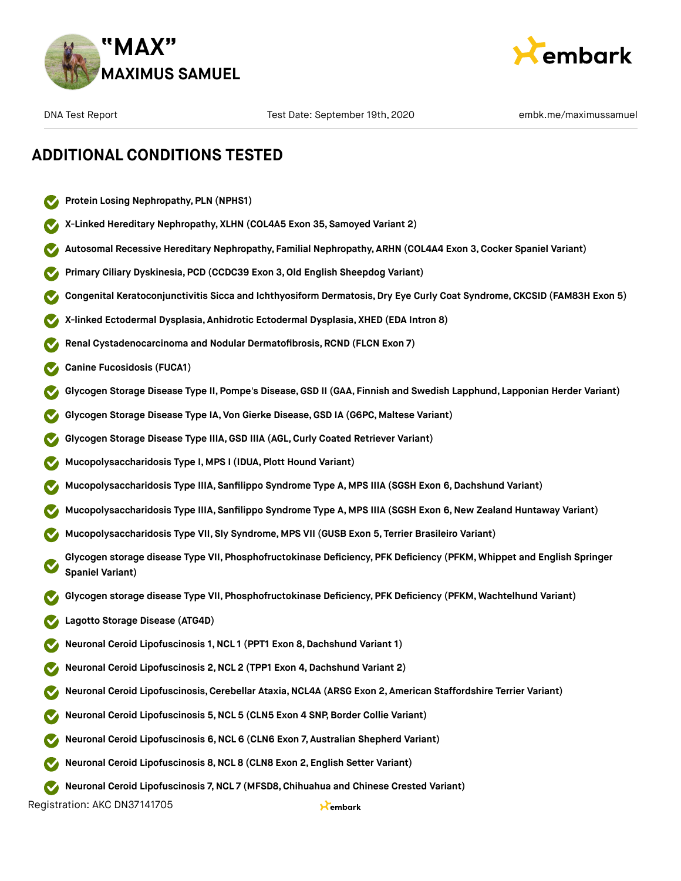



### **ADDITIONAL CONDITIONS TESTED**

- **Protein Losing Nephropathy, PLN (NPHS1)**
- **X-Linked Hereditary Nephropathy, XLHN (COL4A5 Exon 35, Samoyed Variant 2)**
- **Autosomal Recessive Hereditary Nephropathy, Familial Nephropathy, ARHN (COL4A4 Exon 3,Cocker Spaniel Variant)**
- **Primary Ciliary Dyskinesia, PCD (CCDC39 Exon 3,Old English Sheepdog Variant)**
- **Congenital Keratoconjunctivitis Sicca and Ichthyosiform Dermatosis,Dry Eye Curly Coat Syndrome, CKCSID (FAM83H Exon 5)**
- **X-linked Ectodermal Dysplasia, Anhidrotic Ectodermal Dysplasia, XHED (EDA Intron 8)**
- **Renal Cystadenocarcinoma and Nodular Dermatofibrosis, RCND (FLCN Exon 7)**
- **Canine Fucosidosis (FUCA1)**
- **Glycogen Storage Disease Type II, Pompe's Disease,GSD II (GAA, Finnish and Swedish Lapphund, Lapponian Herder Variant)**
- **Glycogen Storage Disease Type IA, Von Gierke Disease,GSD IA (G6PC, Maltese Variant)**
- **Glycogen Storage Disease Type IIIA,GSD IIIA (AGL,Curly Coated Retriever Variant)**
- **Mucopolysaccharidosis Type I, MPS I (IDUA, Plott Hound Variant)**
- **Mucopolysaccharidosis Type IIIA, Sanfilippo Syndrome Type A, MPS IIIA (SGSH Exon 6,Dachshund Variant)**
- **Mucopolysaccharidosis Type IIIA, Sanfilippo Syndrome Type A, MPS IIIA (SGSH Exon 6,New Zealand Huntaway Variant)**
- **Mucopolysaccharidosis Type VII, Sly Syndrome, MPS VII (GUSB Exon 5, Terrier Brasileiro Variant)**
- **Glycogen storage disease Type VII, Phosphofructokinase Deficiency, PFK Deficiency (PFKM, Whippet and English Springer Spaniel Variant)**
- **Glycogen storage disease Type VII, Phosphofructokinase Deficiency, PFK Deficiency (PFKM, Wachtelhund Variant)**
- **Lagotto Storage Disease (ATG4D)**
- **Neuronal Ceroid Lipofuscinosis 1,NCL 1 (PPT1 Exon 8,Dachshund Variant 1)**
- **Neuronal Ceroid Lipofuscinosis 2,NCL 2 (TPP1 Exon 4,Dachshund Variant 2)**
- **Neuronal Ceroid Lipofuscinosis,Cerebellar Ataxia,NCL4A (ARSG Exon 2, American Staffordshire Terrier Variant)**
- **Neuronal Ceroid Lipofuscinosis 5,NCL 5 (CLN5 Exon 4 SNP,Border Collie Variant)**
- **Neuronal Ceroid Lipofuscinosis 6,NCL 6 (CLN6 Exon 7, Australian Shepherd Variant)**
- **Neuronal Ceroid Lipofuscinosis 8,NCL 8 (CLN8 Exon 2, English Setter Variant)**
- **Neuronal Ceroid Lipofuscinosis 7,NCL 7 (MFSD8, Chihuahua and Chinese Crested Variant)**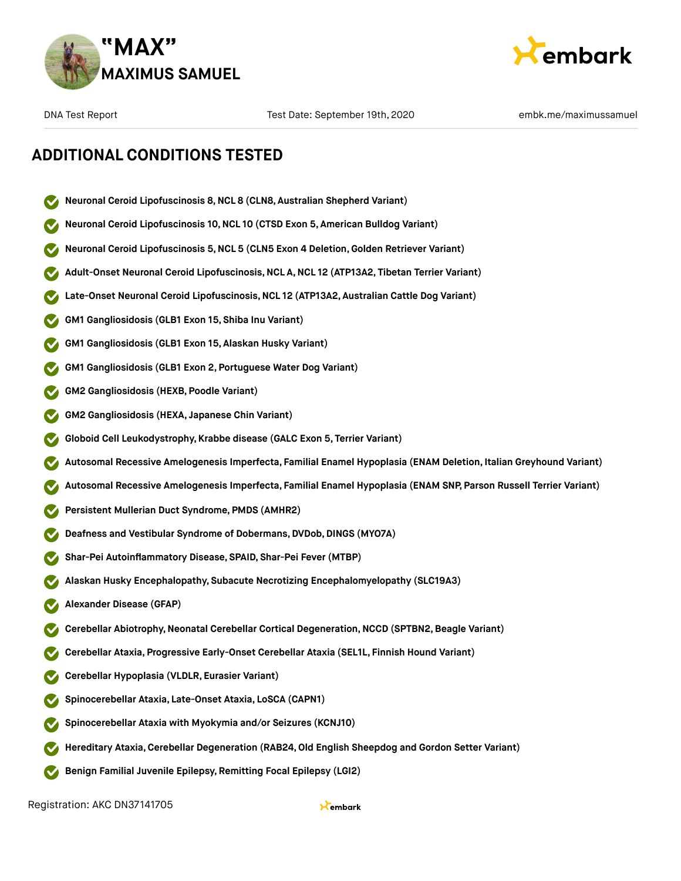



### **ADDITIONAL CONDITIONS TESTED**

- **Neuronal Ceroid Lipofuscinosis 8,NCL 8 (CLN8, Australian Shepherd Variant)**
- **Neuronal Ceroid Lipofuscinosis 10,NCL 10 (CTSD Exon 5, American Bulldog Variant)**
- **Neuronal Ceroid Lipofuscinosis 5,NCL 5 (CLN5 Exon 4 Deletion,Golden Retriever Variant)**
- **Adult-Onset Neuronal Ceroid Lipofuscinosis,NCL A,NCL 12 (ATP13A2, Tibetan Terrier Variant)**
- **Late-Onset Neuronal Ceroid Lipofuscinosis,NCL 12 (ATP13A2, Australian Cattle Dog Variant)**
- **GM1 Gangliosidosis (GLB1 Exon 15, Shiba Inu Variant)**
- **GM1 Gangliosidosis (GLB1 Exon 15, Alaskan Husky Variant)**
- **GM1 Gangliosidosis (GLB1 Exon 2, Portuguese Water Dog Variant)**
- **GM2 Gangliosidosis (HEXB, Poodle Variant)**
- **GM2 Gangliosidosis (HEXA, Japanese Chin Variant)**
- **Globoid Cell Leukodystrophy, Krabbe disease (GALC Exon 5, Terrier Variant)**
- **Autosomal Recessive Amelogenesis Imperfecta, Familial Enamel Hypoplasia (ENAM Deletion, Italian Greyhound Variant)**
- **Autosomal Recessive Amelogenesis Imperfecta, Familial Enamel Hypoplasia (ENAM SNP, Parson Russell Terrier Variant)**
- **Persistent Mullerian Duct Syndrome, PMDS (AMHR2)**
- **Deafness and Vestibular Syndrome of Dobermans,DVDob,DINGS (MYO7A)**
- **Shar-Pei Autoinflammatory Disease, SPAID, Shar-Pei Fever (MTBP)**
- **Alaskan Husky Encephalopathy, Subacute Necrotizing Encephalomyelopathy (SLC19A3)**
- **Alexander Disease (GFAP)**
- **Cerebellar Abiotrophy,Neonatal Cerebellar Cortical Degeneration,NCCD (SPTBN2,Beagle Variant)**
- **Cerebellar Ataxia, Progressive Early-Onset Cerebellar Ataxia (SEL1L, Finnish Hound Variant)**
- **Cerebellar Hypoplasia (VLDLR, Eurasier Variant)**
- **Spinocerebellar Ataxia, Late-Onset Ataxia, LoSCA (CAPN1)**
- **Spinocerebellar Ataxia with Myokymia and/or Seizures (KCNJ10)**
- **Hereditary Ataxia,Cerebellar Degeneration (RAB24,Old English Sheepdog and Gordon Setter Variant)**
- **Benign Familial Juvenile Epilepsy, Remitting Focal Epilepsy (LGI2)**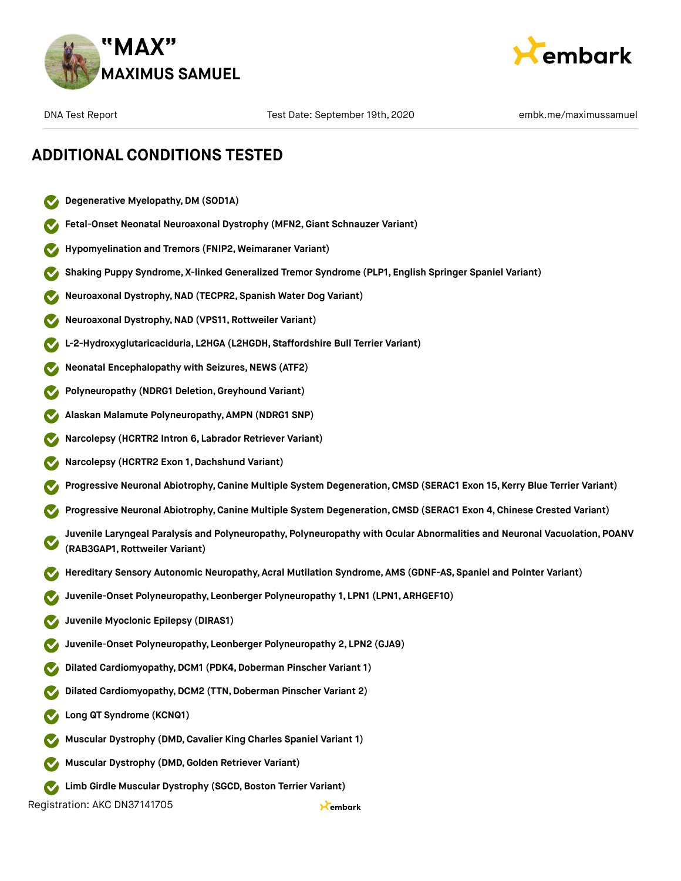



### **ADDITIONAL CONDITIONS TESTED**

- **Degenerative Myelopathy,DM (SOD1A)**
- **Fetal-Onset Neonatal Neuroaxonal Dystrophy (MFN2,Giant Schnauzer Variant)**
- **Hypomyelination and Tremors (FNIP2, Weimaraner Variant)**
- **Shaking Puppy Syndrome, X-linked Generalized Tremor Syndrome (PLP1, English Springer Spaniel Variant)**
- **Neuroaxonal Dystrophy,NAD (TECPR2, Spanish Water Dog Variant)**
- **Neuroaxonal Dystrophy,NAD (VPS11, Rottweiler Variant)**
- **L-2-Hydroxyglutaricaciduria, L2HGA (L2HGDH, Staffordshire Bull Terrier Variant)**
- **Neonatal Encephalopathy with Seizures, NEWS (ATF2)**
- **Polyneuropathy (NDRG1 Deletion,Greyhound Variant)**
- **Alaskan Malamute Polyneuropathy, AMPN (NDRG1 SNP)**
- **Narcolepsy (HCRTR2 Intron 6, Labrador Retriever Variant)**
- **Narcolepsy (HCRTR2 Exon 1,Dachshund Variant)**
- **Progressive Neuronal Abiotrophy,Canine Multiple System Degeneration,CMSD (SERAC1 Exon 15, Kerry Blue Terrier Variant)**
- **Progressive Neuronal Abiotrophy,Canine Multiple System Degeneration,CMSD (SERAC1 Exon 4, Chinese Crested Variant)**
- **Juvenile Laryngeal Paralysis and Polyneuropathy, Polyneuropathy with Ocular Abnormalities and Neuronal Vacuolation, POANV (RAB3GAP1, Rottweiler Variant)**
- **Hereditary Sensory Autonomic Neuropathy, Acral Mutilation Syndrome, AMS (GDNF-AS, Spaniel and Pointer Variant)**
- **Juvenile-Onset Polyneuropathy, Leonberger Polyneuropathy 1, LPN1 (LPN1, ARHGEF10)**
- **Juvenile Myoclonic Epilepsy (DIRAS1)**
- **Juvenile-Onset Polyneuropathy, Leonberger Polyneuropathy 2, LPN2 (GJA9)**
- **Dilated Cardiomyopathy, DCM1 (PDK4, Doberman Pinscher Variant 1)**
- **Dilated Cardiomyopathy, DCM2 (TTN, Doberman Pinscher Variant 2)**
- **Long QT Syndrome (KCNQ1)**
- **Muscular Dystrophy (DMD,Cavalier King Charles Spaniel Variant 1)**
- **Muscular Dystrophy (DMD,Golden Retriever Variant)**
- **Limb** Girdle Muscular Dystrophy (SGCD, Boston Terrier Variant)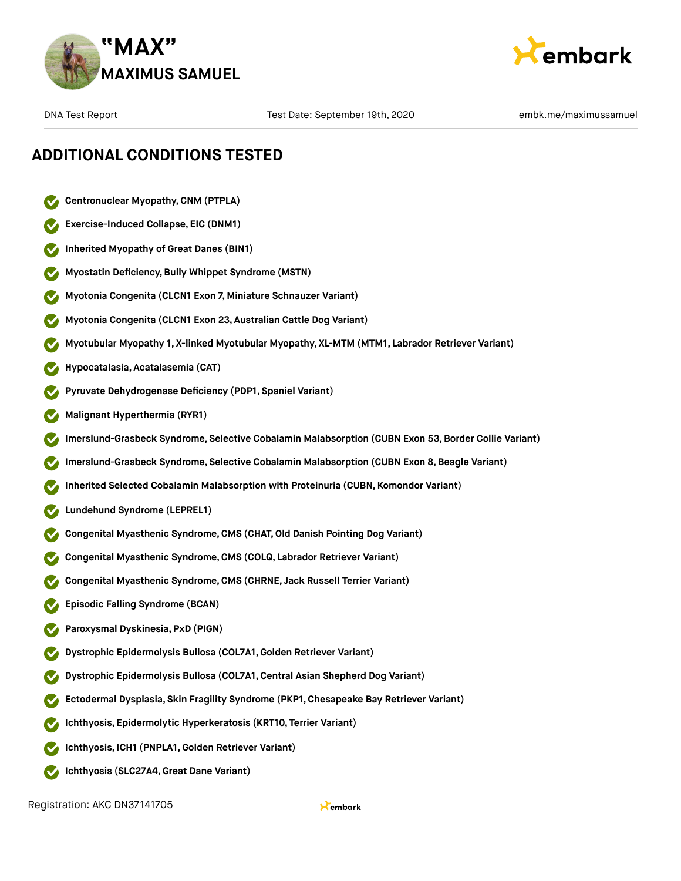



### **ADDITIONAL CONDITIONS TESTED**

- **Centronuclear Myopathy,CNM (PTPLA)**
- **Exercise-Induced Collapse, EIC (DNM1)**
- **Inherited Myopathy of Great Danes (BIN1)**
- **Myostatin Deficiency,Bully Whippet Syndrome (MSTN)**
- **Myotonia Congenita (CLCN1 Exon 7, Miniature Schnauzer Variant)**
- **Myotonia Congenita (CLCN1 Exon 23, Australian Cattle Dog Variant)**
- **Myotubular Myopathy 1, X-linked Myotubular Myopathy, XL-MTM (MTM1, Labrador Retriever Variant)**
- **Hypocatalasia, Acatalasemia (CAT)**
- **Pyruvate Dehydrogenase Deficiency (PDP1, Spaniel Variant)**
- **Malignant Hyperthermia (RYR1)**
- **Imerslund-Grasbeck Syndrome, Selective Cobalamin Malabsorption (CUBN Exon 53,Border Collie Variant)**
- **Imerslund-Grasbeck Syndrome, Selective Cobalamin Malabsorption (CUBN Exon 8,Beagle Variant)**
- **Inherited Selected Cobalamin Malabsorption with Proteinuria (CUBN, Komondor Variant)**
- **Lundehund Syndrome (LEPREL1)**
- **Congenital Myasthenic Syndrome,CMS (CHAT,Old Danish Pointing Dog Variant)**
- **Congenital Myasthenic Syndrome,CMS (COLQ, Labrador Retriever Variant)**
- **Congenital Myasthenic Syndrome,CMS (CHRNE, Jack Russell Terrier Variant)**
- **Episodic Falling Syndrome (BCAN)**
- **Paroxysmal Dyskinesia, PxD (PIGN)**
- **Dystrophic Epidermolysis Bullosa (COL7A1,Golden Retriever Variant)**
- **Dystrophic Epidermolysis Bullosa (COL7A1,Central Asian Shepherd Dog Variant)**
- **Ectodermal Dysplasia, Skin Fragility Syndrome (PKP1, Chesapeake Bay Retriever Variant)**
- **Ichthyosis, Epidermolytic Hyperkeratosis (KRT10, Terrier Variant)**
- **Ichthyosis, ICH1 (PNPLA1,Golden Retriever Variant)**
- **Ichthyosis (SLC27A4,Great Dane Variant)**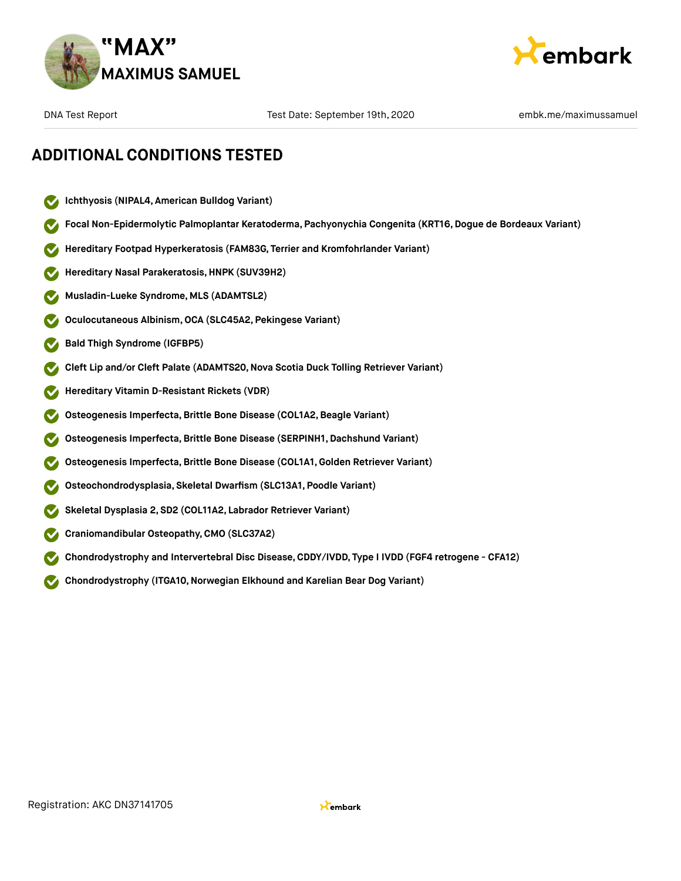



### **ADDITIONAL CONDITIONS TESTED**

- **Ichthyosis (NIPAL4, American Bulldog Variant)**  $\checkmark$
- **Focal Non-Epidermolytic Palmoplantar Keratoderma, Pachyonychia Congenita (KRT16, Dogue de Bordeaux Variant)**
- **Hereditary Footpad Hyperkeratosis (FAM83G, Terrier and Kromfohrlander Variant)**
- **Hereditary Nasal Parakeratosis,HNPK (SUV39H2)**
- **Musladin-Lueke Syndrome, MLS (ADAMTSL2)**
- **Oculocutaneous Albinism,OCA (SLC45A2, Pekingese Variant)**
- **Bald Thigh Syndrome (IGFBP5)**
- **Cleft Lip and/or Cleft Palate (ADAMTS20,Nova Scotia Duck Tolling Retriever Variant)**
- **Hereditary Vitamin D-Resistant Rickets (VDR)**
- **Osteogenesis Imperfecta,Brittle Bone Disease (COL1A2,Beagle Variant)**
- **Osteogenesis Imperfecta,Brittle Bone Disease (SERPINH1, Dachshund Variant)**
- **Osteogenesis Imperfecta,Brittle Bone Disease (COL1A1,Golden Retriever Variant)**
- **Osteochondrodysplasia, Skeletal Dwarfism (SLC13A1, Poodle Variant)**
- **Skeletal Dysplasia 2, SD2 (COL11A2, Labrador Retriever Variant)**
- **Craniomandibular Osteopathy,CMO (SLC37A2)**
- **Chondrodystrophy and Intervertebral Disc Disease,CDDY/IVDD, Type I IVDD (FGF4 retrogene CFA12)**
- **Chondrodystrophy (ITGA10,Norwegian Elkhound and Karelian Bear Dog Variant)**